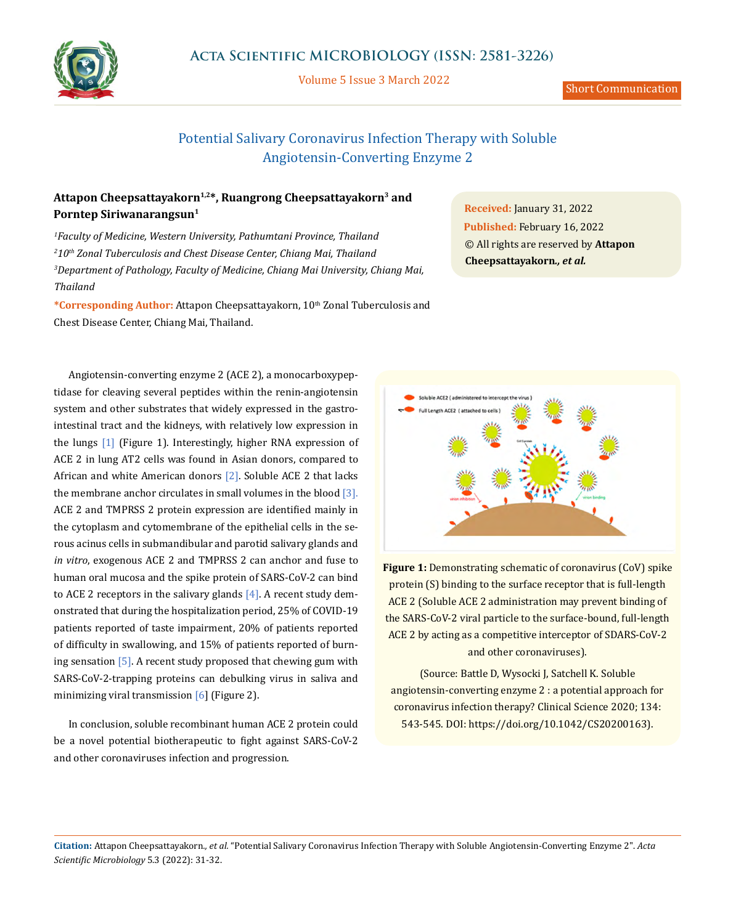

## **Acta Scientific MICROBIOLOGY (ISSN: 2581-3226)**

Volume 5 Issue 3 March 2022

# Potential Salivary Coronavirus Infection Therapy with Soluble Angiotensin-Converting Enzyme 2

### Attapon Cheepsattayakorn<sup>1,2\*</sup>, Ruangrong Cheepsattayakorn<sup>3</sup> and **Porntep Siriwanarangsun1**

 *Faculty of Medicine, Western University, Pathumtani Province, Thailand 10th Zonal Tuberculosis and Chest Disease Center, Chiang Mai, Thailand Department of Pathology, Faculty of Medicine, Chiang Mai University, Chiang Mai, Thailand*

\*Corresponding Author: Attapon Cheepsattayakorn, 10<sup>th</sup> Zonal Tuberculosis and Chest Disease Center, Chiang Mai, Thailand.

**Received:** January 31, 2022 **Published:** February 16, 2022 © All rights are reserved by **Attapon Cheepsattayakorn***., et al.*

Angiotensin-converting enzyme 2 (ACE 2), a monocarboxypeptidase for cleaving several peptides within the renin-angiotensin system and other substrates that widely expressed in the gastrointestinal tract and the kidneys, with relatively low expression in the lungs [1] (Figure 1). Interestingly, higher RNA expression of ACE 2 in lung AT2 cells was found in Asian donors, compared to African and white American donors [2]. Soluble ACE 2 that lacks the membrane anchor circulates in small volumes in the blood  $[3]$ . ACE 2 and TMPRSS 2 protein expression are identified mainly in the cytoplasm and cytomembrane of the epithelial cells in the serous acinus cells in submandibular and parotid salivary glands and *in vitro*, exogenous ACE 2 and TMPRSS 2 can anchor and fuse to human oral mucosa and the spike protein of SARS-CoV-2 can bind to ACE 2 receptors in the salivary glands  $[4]$ . A recent study demonstrated that during the hospitalization period, 25% of COVID-19 patients reported of taste impairment, 20% of patients reported of difficulty in swallowing, and 15% of patients reported of burning sensation  $[5]$ . A recent study proposed that chewing gum with SARS-CoV-2-trapping proteins can debulking virus in saliva and minimizing viral transmission  $[6]$  (Figure 2).

In conclusion, soluble recombinant human ACE 2 protein could be a novel potential biotherapeutic to fight against SARS-CoV-2 and other coronaviruses infection and progression.



**Figure 1:** Demonstrating schematic of coronavirus (CoV) spike protein (S) binding to the surface receptor that is full-length ACE 2 (Soluble ACE 2 administration may prevent binding of the SARS-CoV-2 viral particle to the surface-bound, full-length ACE 2 by acting as a competitive interceptor of SDARS-CoV-2 and other coronaviruses).

(Source: Battle D, Wysocki J, Satchell K. Soluble angiotensin-converting enzyme 2 : a potential approach for coronavirus infection therapy? Clinical Science 2020; 134: 543-545. DOI: https://doi.org/10.1042/CS20200163).